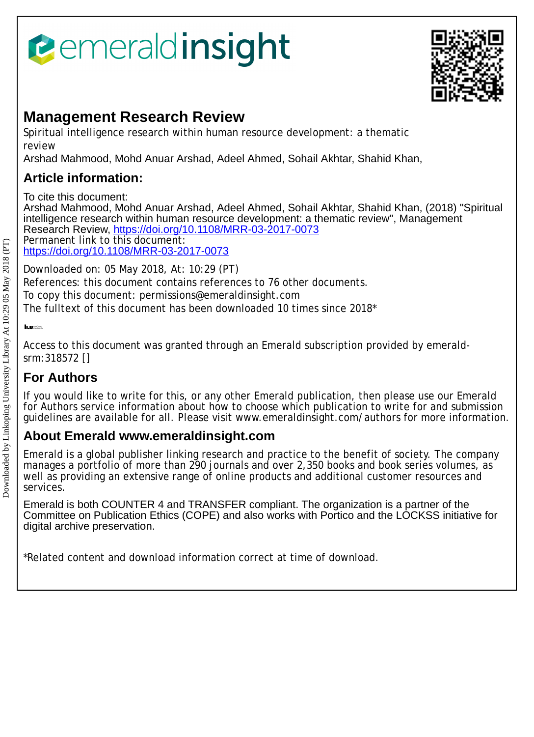# *<u><b>e*emeraldinsight</u>



## **Management Research Review**

Spiritual intelligence research within human resource development: a thematic review

Arshad Mahmood, Mohd Anuar Arshad, Adeel Ahmed, Sohail Akhtar, Shahid Khan,

## **Article information:**

To cite this document:

Arshad Mahmood, Mohd Anuar Arshad, Adeel Ahmed, Sohail Akhtar, Shahid Khan, (2018) "Spiritual intelligence research within human resource development: a thematic review", Management Research Review, <https://doi.org/10.1108/MRR-03-2017-0073> Permanent link to this document: <https://doi.org/10.1108/MRR-03-2017-0073>

Downloaded on: 05 May 2018, At: 10:29 (PT)

References: this document contains references to 76 other documents.

To copy this document: permissions@emeraldinsight.com

The fulltext of this document has been downloaded 10 times since 2018\*

### **LU** assess

Access to this document was granted through an Emerald subscription provided by emeraldsrm:318572 []

## **For Authors**

If you would like to write for this, or any other Emerald publication, then please use our Emerald for Authors service information about how to choose which publication to write for and submission guidelines are available for all. Please visit www.emeraldinsight.com/authors for more information.

## **About Emerald www.emeraldinsight.com**

Emerald is a global publisher linking research and practice to the benefit of society. The company manages a portfolio of more than 290 journals and over 2,350 books and book series volumes, as well as providing an extensive range of online products and additional customer resources and services.

Emerald is both COUNTER 4 and TRANSFER compliant. The organization is a partner of the Committee on Publication Ethics (COPE) and also works with Portico and the LOCKSS initiative for digital archive preservation.

\*Related content and download information correct at time of download.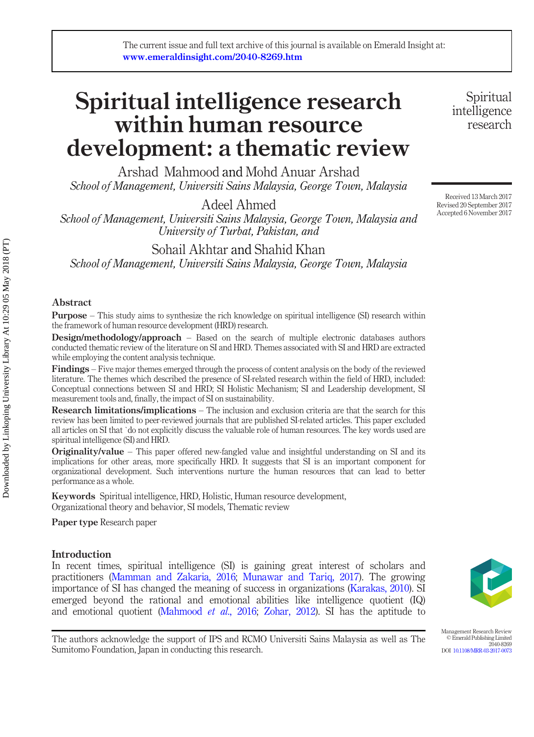## Spiritual intelligence research within human resource development: a thematic review

Arshad Mahmood and Mohd Anuar Arshad School of Management, Universiti Sains Malaysia, George Town, Malaysia

Adeel Ahmed

School of Management, Universiti Sains Malaysia, George Town, Malaysia and University of Turbat, Pakistan, and

Sohail Akhtar and Shahid Khan School of Management, Universiti Sains Malaysia, George Town, Malaysia

#### Abstract

Purpose – This study aims to synthesize the rich knowledge on spiritual intelligence (SI) research within the framework of human resource development (HRD) research.

Design/methodology/approach – Based on the search of multiple electronic databases authors conducted thematic review of the literature on SI and HRD. Themes associated with SI and HRD are extracted while employing the content analysis technique.

Findings – Five major themes emerged through the process of content analysis on the body of the reviewed literature. The themes which described the presence of SI-related research within the field of HRD, included: Conceptual connections between SI and HRD; SI Holistic Mechanism; SI and Leadership development, SI measurement tools and, finally, the impact of SI on sustainability.

Research limitations/implications – The inclusion and exclusion criteria are that the search for this review has been limited to peer-reviewed journals that are published SI-related articles. This paper excluded all articles on SI that `do not explicitly discuss the valuable role of human resources. The key words used are spiritual intelligence (SI) and HRD.

**Originality/value** – This paper offered new-fangled value and insightful understanding on SI and its implications for other areas, more specifically HRD. It suggests that SI is an important component for organizational development. Such interventions nurture the human resources that can lead to better performance as a whole.

Keywords Spiritual intelligence, HRD, Holistic, Human resource development, Organizational theory and behavior, SI models, Thematic review

Paper type Research paper

#### Introduction

In recent times, spiritual intelligence (SI) is gaining great interest of scholars and practitioners [\(Mamman and Zakaria, 2016;](#page-19-0) [Munawar and Tariq, 2017\)](#page-19-1). The growing importance of SI has changed the meaning of success in organizations ([Karakas, 2010](#page-18-0)). SI emerged beyond the rational and emotional abilities like intelligence quotient (IQ) and emotional quotient ([Mahmood](#page-19-2) et al., 2016; [Zohar, 2012](#page-20-0)). SI has the aptitude to



Spiritual intelligence research

Received 13 March 2017 Revised 20 September 2017 Accepted 6 November 2017

The authors acknowledge the support of IPS and RCMO Universiti Sains Malaysia as well as The Sumitomo Foundation, Japan in conducting this research.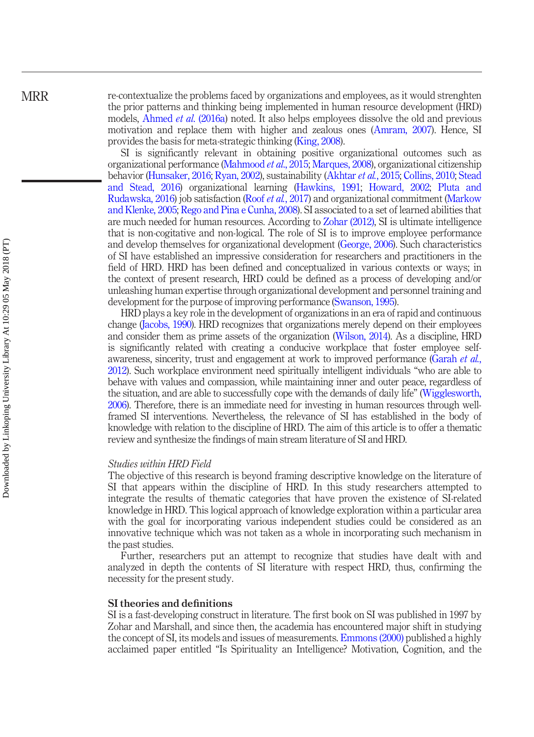re-contextualize the problems faced by organizations and employees, as it would strenghten the prior patterns and thinking being implemented in human resource development (HRD) models, Ahmed *et al.* (2016a) noted. It also helps employees dissolve the old and previous motivation and replace them with higher and zealous ones [\(Amram, 2007\)](#page-17-1). Hence, SI provides the basis for meta-strategic thinking [\(King, 2008](#page-18-1)).

SI is significantly relevant in obtaining positive organizational outcomes such as organizational performance ([Mahmood](#page-19-3) et al., 2015; [Marques, 2008\)](#page-19-4), organizational citizenship behavior [\(Hunsaker, 2016;](#page-18-2) [Ryan, 2002](#page-19-5)), sustainability ([Akhtar](#page-17-2) et al., 2015; [Collins, 2010](#page-17-3); [Stead](#page-20-1) [and Stead, 2016](#page-20-1)) organizational learning [\(Hawkins, 1991](#page-18-3); [Howard, 2002;](#page-18-4) [Pluta and](#page-19-6) [Rudawska, 2016](#page-19-6)) job satisfaction (Roof et al.[, 2017](#page-19-7)) and organizational commitment [\(Markow](#page-19-8) [and Klenke, 2005](#page-19-8); [Rego and Pina e Cunha, 2008\)](#page-19-9). SI associated to a set of learned abilities that are much needed for human resources. According to [Zohar \(2012\),](#page-20-0) SI is ultimate intelligence that is non-cogitative and non-logical. The role of SI is to improve employee performance and develop themselves for organizational development [\(George, 2006](#page-18-5)). Such characteristics of SI have established an impressive consideration for researchers and practitioners in the field of HRD. HRD has been defined and conceptualized in various contexts or ways; in the context of present research, HRD could be defined as a process of developing and/or unleashing human expertise through organizational development and personnel training and development for the purpose of improving performance [\(Swanson, 1995](#page-20-2)).

HRD plays a key role in the development of organizations in an era of rapid and continuous change [\(Jacobs, 1990\)](#page-18-6). HRD recognizes that organizations merely depend on their employees and consider them as prime assets of the organization [\(Wilson, 2014](#page-20-3)). As a discipline, HRD is significantly related with creating a conducive workplace that foster employee selfawareness, sincerity, trust and engagement at work to improved performance [\(Garah](#page-18-7) et al., [2012](#page-18-7)). Such workplace environment need spiritually intelligent individuals "who are able to behave with values and compassion, while maintaining inner and outer peace, regardless of the situation, and are able to successfully cope with the demands of daily life" [\(Wigglesworth,](#page-20-4) [2006](#page-20-4)). Therefore, there is an immediate need for investing in human resources through wellframed SI interventions. Nevertheless, the relevance of SI has established in the body of knowledge with relation to the discipline of HRD. The aim of this article is to offer a thematic review and synthesize the findings of main stream literature of SI and HRD.

#### Studies within HRD Field

The objective of this research is beyond framing descriptive knowledge on the literature of SI that appears within the discipline of HRD. In this study researchers attempted to integrate the results of thematic categories that have proven the existence of SI-related knowledge in HRD. This logical approach of knowledge exploration within a particular area with the goal for incorporating various independent studies could be considered as an innovative technique which was not taken as a whole in incorporating such mechanism in the past studies.

Further, researchers put an attempt to recognize that studies have dealt with and analyzed in depth the contents of SI literature with respect HRD, thus, confirming the necessity for the present study.

#### SI theories and definitions

SI is a fast-developing construct in literature. The first book on SI was published in 1997 by Zohar and Marshall, and since then, the academia has encountered major shift in studying the concept of SI, its models and issues of measurements. [Emmons \(2000\)](#page-18-8) published a highly acclaimed paper entitled "Is Spirituality an Intelligence? Motivation, Cognition, and the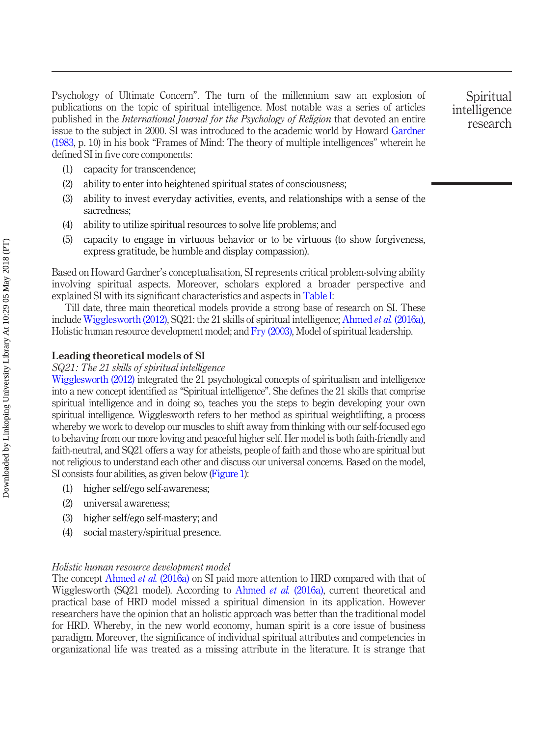Psychology of Ultimate Concern". The turn of the millennium saw an explosion of publications on the topic of spiritual intelligence. Most notable was a series of articles published in the International Journal for the Psychology of Religion that devoted an entire issue to the subject in 2000. SI was introduced to the academic world by Howard [Gardner](#page-18-9) [\(1983,](#page-18-9) p. 10) in his book "Frames of Mind: The theory of multiple intelligences" wherein he defined SI in five core components:

Spiritual intelligence research

- (1) capacity for transcendence;
- (2) ability to enter into heightened spiritual states of consciousness;
- (3) ability to invest everyday activities, events, and relationships with a sense of the sacredness;
- (4) ability to utilize spiritual resources to solve life problems; and
- (5) capacity to engage in virtuous behavior or to be virtuous (to show forgiveness, express gratitude, be humble and display compassion).

Based on Howard Gardner's conceptualisation, SI represents critical problem-solving ability involving spiritual aspects. Moreover, scholars explored a broader perspective and explained SI with its significant characteristics and aspects in [Table I:](#page-4-0)

Till date, three main theoretical models provide a strong base of research on SI. These include [Wigglesworth \(2012\)](#page-20-5), SQ21: the 21 skills of spiritual intelligence; [Ahmed](#page-17-0) *et al.* (2016a), Holistic human resource development model; and [Fry \(2003\),](#page-18-10) Model of spiritual leadership.

#### Leading theoretical models of SI

#### SQ21: The 21 skills of spiritual intelligence

[Wigglesworth \(2012\)](#page-20-5) integrated the 21 psychological concepts of spiritualism and intelligence into a new concept identified as "Spiritual intelligence". She defines the 21 skills that comprise spiritual intelligence and in doing so, teaches you the steps to begin developing your own spiritual intelligence. Wigglesworth refers to her method as spiritual weightlifting, a process whereby we work to develop our muscles to shift away from thinking with our self-focused ego to behaving from our more loving and peaceful higher self. Her model is both faith-friendly and faith-neutral, and SQ21 offers a way for atheists, people of faith and those who are spiritual but not religious to understand each other and discuss our universal concerns. Based on the model, SI consists four abilities, as given below ([Figure 1\)](#page-5-0):

- (1) higher self/ego self-awareness;
- (2) universal awareness;
- (3) higher self/ego self-mastery; and
- (4) social mastery/spiritual presence.

#### Holistic human resource development model

The concept [Ahmed](#page-17-0) *et al.* (2016a) on SI paid more attention to HRD compared with that of Wigglesworth (SQ21 model). According to [Ahmed](#page-17-0) *et al.* (2016a), current theoretical and practical base of HRD model missed a spiritual dimension in its application. However researchers have the opinion that an holistic approach was better than the traditional model for HRD. Whereby, in the new world economy, human spirit is a core issue of business paradigm. Moreover, the significance of individual spiritual attributes and competencies in organizational life was treated as a missing attribute in the literature. It is strange that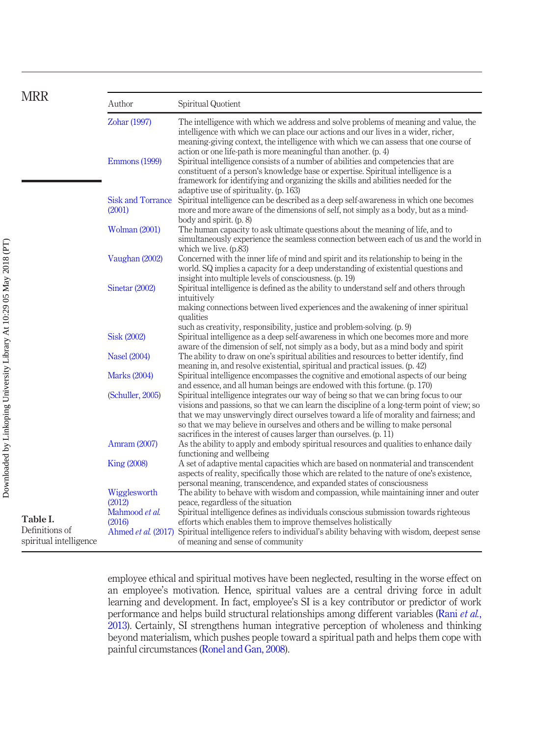| <b>MRR</b>                                           | Author                                   | Spiritual Quotient                                                                                                                                                                                                                                                                                                                                                                                                                   |
|------------------------------------------------------|------------------------------------------|--------------------------------------------------------------------------------------------------------------------------------------------------------------------------------------------------------------------------------------------------------------------------------------------------------------------------------------------------------------------------------------------------------------------------------------|
|                                                      |                                          |                                                                                                                                                                                                                                                                                                                                                                                                                                      |
|                                                      | Zohar (1997)                             | The intelligence with which we address and solve problems of meaning and value, the<br>intelligence with which we can place our actions and our lives in a wider, richer,<br>meaning-giving context, the intelligence with which we can assess that one course of<br>action or one life-path is more meaningful than another. (p. 4)                                                                                                 |
|                                                      | <b>Emmons</b> (1999)                     | Spiritual intelligence consists of a number of abilities and competencies that are<br>constituent of a person's knowledge base or expertise. Spiritual intelligence is a<br>framework for identifying and organizing the skills and abilities needed for the<br>adaptive use of spirituality. (p. 163)                                                                                                                               |
|                                                      | <b>Sisk and Torrance</b><br>(2001)       | Spiritual intelligence can be described as a deep self-awareness in which one becomes<br>more and more aware of the dimensions of self, not simply as a body, but as a mind-<br>body and spirit. (p. 8)                                                                                                                                                                                                                              |
|                                                      | <b>Wolman (2001)</b>                     | The human capacity to ask ultimate questions about the meaning of life, and to<br>simultaneously experience the seamless connection between each of us and the world in<br>which we live. (p.83)                                                                                                                                                                                                                                     |
|                                                      | Vaughan (2002)                           | Concerned with the inner life of mind and spirit and its relationship to being in the<br>world. SQ implies a capacity for a deep understanding of existential questions and<br>insight into multiple levels of consciousness. (p. 19)                                                                                                                                                                                                |
|                                                      | Sinetar (2002)                           | Spiritual intelligence is defined as the ability to understand self and others through<br>intuitively<br>making connections between lived experiences and the awakening of inner spiritual<br>qualities                                                                                                                                                                                                                              |
|                                                      | Sisk (2002)                              | such as creativity, responsibility, justice and problem-solving. (p. 9)<br>Spiritual intelligence as a deep self-awareness in which one becomes more and more<br>aware of the dimension of self, not simply as a body, but as a mind body and spirit                                                                                                                                                                                 |
|                                                      | Nasel (2004)                             | The ability to draw on one's spiritual abilities and resources to better identify, find<br>meaning in, and resolve existential, spiritual and practical issues. (p. 42)                                                                                                                                                                                                                                                              |
|                                                      | <b>Marks</b> (2004)                      | Spiritual intelligence encompasses the cognitive and emotional aspects of our being<br>and essence, and all human beings are endowed with this fortune. (p. 170)                                                                                                                                                                                                                                                                     |
|                                                      | (Schuller, 2005)                         | Spiritual intelligence integrates our way of being so that we can bring focus to our<br>visions and passions, so that we can learn the discipline of a long-term point of view; so<br>that we may unswervingly direct ourselves toward a life of morality and fairness; and<br>so that we may believe in ourselves and others and be willing to make personal<br>sacrifices in the interest of causes larger than ourselves. (p. 11) |
|                                                      | Amram (2007)                             | As the ability to apply and embody spiritual resources and qualities to enhance daily<br>functioning and wellbeing                                                                                                                                                                                                                                                                                                                   |
|                                                      | King (2008)                              | A set of adaptive mental capacities which are based on nonmaterial and transcendent<br>aspects of reality, specifically those which are related to the nature of one's existence,<br>personal meaning, transcendence, and expanded states of consciousness                                                                                                                                                                           |
|                                                      | Wigglesworth<br>(2012)<br>Mahmood et al. | The ability to behave with wisdom and compassion, while maintaining inner and outer<br>peace, regardless of the situation<br>Spiritual intelligence defines as individuals conscious submission towards righteous                                                                                                                                                                                                                    |
| Table I.<br>Definitions of<br>spiritual intelligence | (2016)                                   | efforts which enables them to improve themselves holistically<br>Ahmed et al. (2017) Spiritual intelligence refers to individual's ability behaving with wisdom, deepest sense<br>of meaning and sense of community                                                                                                                                                                                                                  |

<span id="page-4-0"></span>employee ethical and spiritual motives have been neglected, resulting in the worse effect on an employee's motivation. Hence, spiritual values are a central driving force in adult learning and development. In fact, employee's SI is a key contributor or predictor of work performance and helps build structural relationships among different variables [\(Rani](#page-19-10) et al., [2013](#page-19-10)). Certainly, SI strengthens human integrative perception of wholeness and thinking beyond materialism, which pushes people toward a spiritual path and helps them cope with painful circumstances ([Ronel and Gan, 2008](#page-19-11)).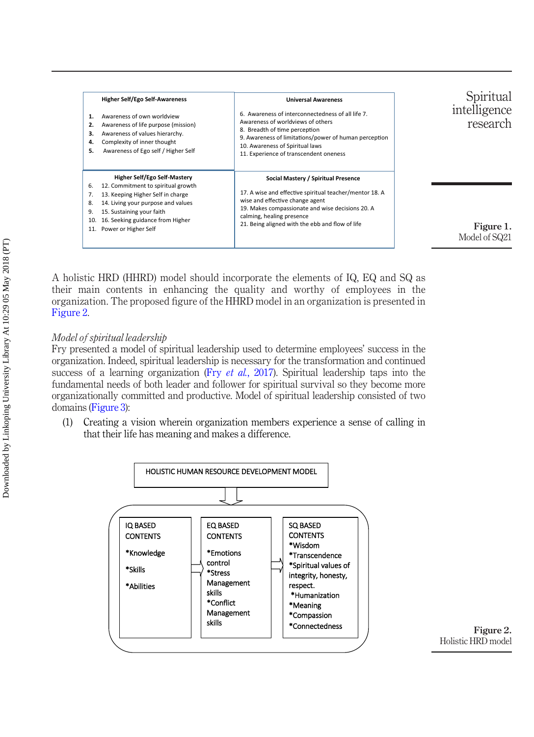<span id="page-5-0"></span>

| 1.<br>2.<br>3.<br>4.<br>5.         | <b>Higher Self/Ego Self-Awareness</b><br>Awareness of own worldview<br>Awareness of life purpose (mission)<br>Awareness of values hierarchy.<br>Complexity of inner thought<br>Awareness of Ego self / Higher Self                            | <b>Universal Awareness</b><br>6. Awareness of interconnectedness of all life 7.<br>Awareness of worldviews of others<br>8. Breadth of time perception<br>9. Awareness of limitations/power of human perception<br>10. Awareness of Spiritual laws<br>11. Experience of transcendent oneness | Spiritual<br>intelligence<br>research |
|------------------------------------|-----------------------------------------------------------------------------------------------------------------------------------------------------------------------------------------------------------------------------------------------|---------------------------------------------------------------------------------------------------------------------------------------------------------------------------------------------------------------------------------------------------------------------------------------------|---------------------------------------|
| 6.<br>7.<br>8.<br>9.<br>10.<br>11. | <b>Higher Self/Ego Self-Mastery</b><br>12. Commitment to spiritual growth<br>13. Keeping Higher Self in charge<br>14. Living your purpose and values<br>15. Sustaining your faith<br>16. Seeking guidance from Higher<br>Power or Higher Self | Social Mastery / Spiritual Presence<br>17. A wise and effective spiritual teacher/mentor 18. A<br>wise and effective change agent<br>19. Makes compassionate and wise decisions 20. A<br>calming, healing presence<br>21. Being aligned with the ebb and flow of life                       | Figure 1.<br>Model of SQ21            |

A holistic HRD (HHRD) model should incorporate the elements of IQ, EQ and SQ as their main contents in enhancing the quality and worthy of employees in the organization. The proposed figure of the HHRD model in an organization is presented in [Figure 2.](#page-5-1)

#### Model of spiritual leadership

Fry presented a model of spiritual leadership used to determine employees' success in the organization. Indeed, spiritual leadership is necessary for the transformation and continued success of a learning organization (Fry *et al.*[, 2017\)](#page-18-12). Spiritual leadership taps into the fundamental needs of both leader and follower for spiritual survival so they become more organizationally committed and productive. Model of spiritual leadership consisted of two domains ([Figure 3\)](#page-6-0):

(1) Creating a vision wherein organization members experience a sense of calling in that their life has meaning and makes a difference.



<span id="page-5-1"></span>Figure 2. Holistic HRD model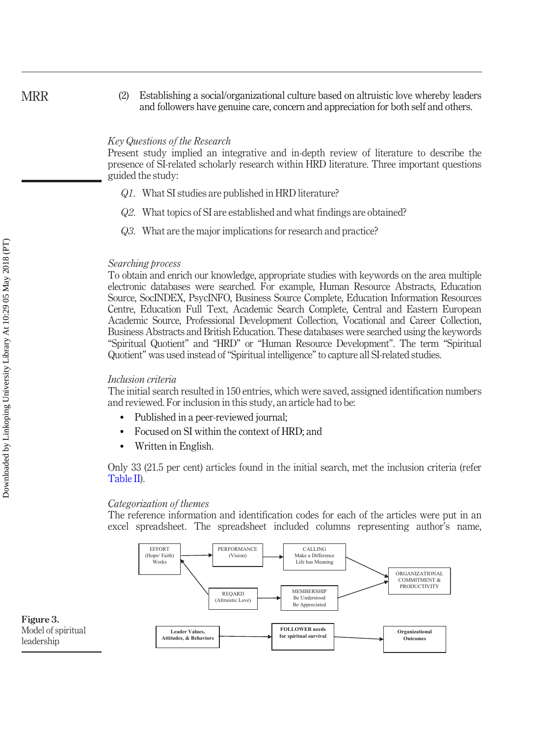(2) Establishing a social/organizational culture based on altruistic love whereby leaders and followers have genuine care, concern and appreciation for both self and others.

#### Key Questions of the Research

Present study implied an integrative and in-depth review of literature to describe the presence of SI-related scholarly research within HRD literature. Three important questions guided the study:

- Q1. What SI studies are published in HRD literature?
- Q2. What topics of SI are established and what findings are obtained?
- Q3. What are the major implications for research and practice?

#### Searching process

To obtain and enrich our knowledge, appropriate studies with keywords on the area multiple electronic databases were searched. For example, Human Resource Abstracts, Education Source, SocINDEX, PsycINFO, Business Source Complete, Education Information Resources Centre, Education Full Text, Academic Search Complete, Central and Eastern European Academic Source, Professional Development Collection, Vocational and Career Collection, Business Abstracts and British Education. These databases were searched using the keywords "Spiritual Quotient" and "HRD" or "Human Resource Development". The term "Spiritual Quotient" was used instead of"Spiritual intelligence"to capture all SI-related studies.

#### Inclusion criteria

The initial search resulted in 150 entries, which were saved, assigned identification numbers and reviewed. For inclusion in this study, an article had to be:

- Published in a peer-reviewed journal;
- Focused on SI within the context of HRD; and
- Written in English.

Only 33 (21.5 per cent) articles found in the initial search, met the inclusion criteria (refer [Table II\)](#page-7-0).

#### Categorization of themes

The reference information and identification codes for each of the articles were put in an excel spreadsheet. The spreadsheet included columns representing author's name,



<span id="page-6-0"></span>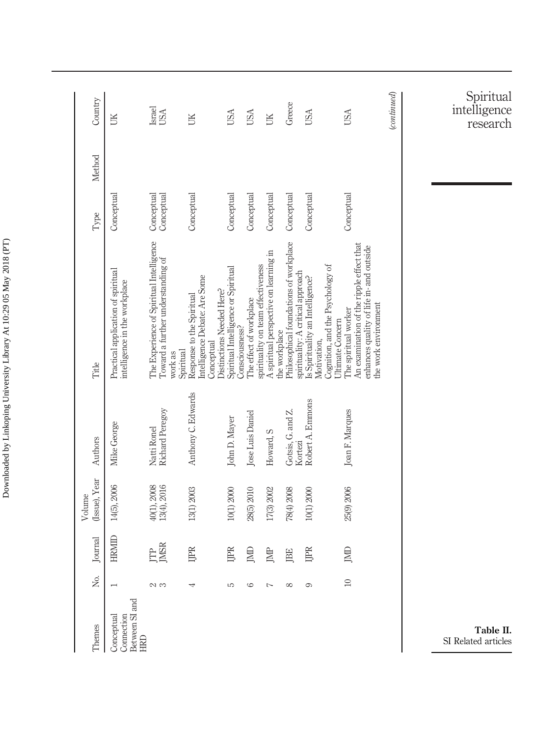<span id="page-7-0"></span>

| Themes                                            | Σò,        | Journal          | (Issue), Year<br>Volume    | Authors                        | Title                                                                                                                                                                                        | Type                     | Method | Country                               |
|---------------------------------------------------|------------|------------------|----------------------------|--------------------------------|----------------------------------------------------------------------------------------------------------------------------------------------------------------------------------------------|--------------------------|--------|---------------------------------------|
| Connection<br>Between SI and<br>HRD<br>Conceptual |            | <b>HRMID</b>     | 14(5), 2006                | Mike George                    | Practical application of spiritual<br>intelligence in the workplace                                                                                                                          | Conceptual               |        | UК                                    |
|                                                   | <u>လ က</u> | <b>JMSR</b><br>Ê | 40(1), 2008<br>13(4), 2016 | Richard Peregoy<br>Natti Ronel | The Experience of Spiritual Intelligence<br>Toward a further understanding of<br>work as                                                                                                     | Conceptual<br>Conceptual |        | Israel<br>USA                         |
|                                                   |            | IJPR             | 13(1) 2003                 | Anthony C. Edwards             | Intelligence Debate: Are Some<br>Response to the Spiritual<br>Conceptual<br>Spiritual                                                                                                        | Conceptual               |        | UK                                    |
|                                                   | LC         | IJPR             | 10(1) 2000                 | John D. Mayer                  | Spiritual Intelligence or Spiritual<br>Distinctions Needed Here?                                                                                                                             | Conceptual               |        | <b>USA</b>                            |
|                                                   |            | $\mathbb{R}$     | 28(5) 2010                 | Jose Luis Daniel               | spirituality on team effectiveness<br>The effect of workplace<br>Consciousness?                                                                                                              | Conceptual               |        | USA                                   |
|                                                   |            | <b>JMP</b>       | 17(3) 2002                 | Howard, S                      | A spiritual perspective on learning in<br>the workplace                                                                                                                                      | Conceptual               |        | ŬК                                    |
|                                                   |            | JBE              | 78(4) 2008                 | Gotsis, G. and Z.<br>Kortezi   | Philosophical foundations of workplace<br>spirituality: A critical approach                                                                                                                  | Conceptual               |        | Greece                                |
|                                                   | 0          | IJPR             | 10(1) 2000                 | Robert A. Emmons               | Is Spirituality an Intelligence?<br>Motivation,                                                                                                                                              | Conceptual               |        | <b>USA</b>                            |
|                                                   | $\approx$  | $\mathbb{R}$     | 25(9) 2006                 | Joan F. Marques                | An examination of the ripple effect that<br>enhances quality of life in- and outside<br>Cognition, and the Psychology of<br>the work environment<br>The spiritual worker<br>Ultimate Concern | Conceptual               |        | USA                                   |
|                                                   |            |                  |                            |                                |                                                                                                                                                                                              |                          |        | $_{\footnotesize (continued)}$        |
|                                                   |            |                  |                            |                                |                                                                                                                                                                                              |                          |        |                                       |
| Table II.<br>SI Related articles                  |            |                  |                            |                                |                                                                                                                                                                                              |                          |        | Spiritual<br>intelligence<br>research |
|                                                   |            |                  |                            |                                |                                                                                                                                                                                              |                          |        |                                       |

Downloaded by Linkoping University Library At 10:29 05 May 2018 (PT) Downloaded by Linkoping University Library At 10:29 05 May 2018 (PT)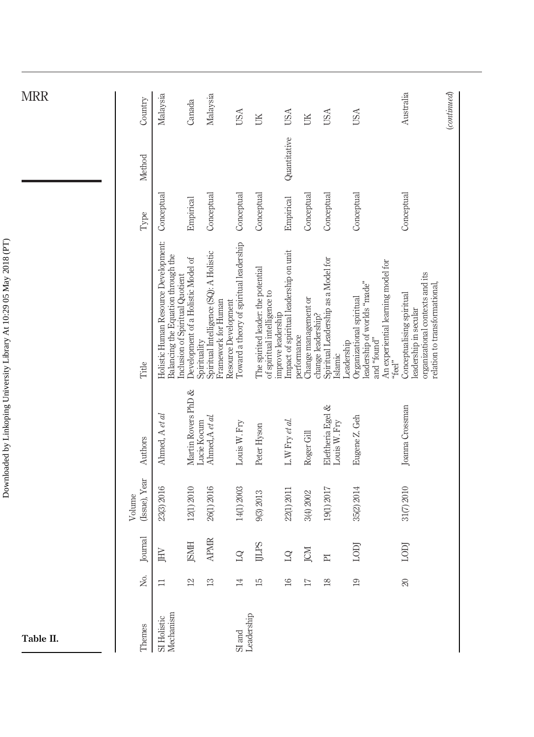| <b>MRR</b> | Country                 | Malaysia                                                                   | Canada                                                                | Malaysia                                                                              | USA                                                             | UК                                                                 | <b>USA</b>                                                                  | UK                                         | <b>USA</b>                                           | <b>USA</b>                                                                                                                | Australia                                                                                                                        | $_{(continued)}$ |
|------------|-------------------------|----------------------------------------------------------------------------|-----------------------------------------------------------------------|---------------------------------------------------------------------------------------|-----------------------------------------------------------------|--------------------------------------------------------------------|-----------------------------------------------------------------------------|--------------------------------------------|------------------------------------------------------|---------------------------------------------------------------------------------------------------------------------------|----------------------------------------------------------------------------------------------------------------------------------|------------------|
|            | Method                  |                                                                            |                                                                       |                                                                                       |                                                                 |                                                                    | Quantitative                                                                |                                            |                                                      |                                                                                                                           |                                                                                                                                  |                  |
|            | Type                    | Conceptual                                                                 | Empirical                                                             | Conceptual                                                                            | Conceptual                                                      | Conceptual                                                         | Empirical                                                                   | Conceptual                                 | Conceptual                                           | Conceptual                                                                                                                | Conceptual                                                                                                                       |                  |
|            | Title                   | Holistic Human Resource Development:<br>Balancing the Equation through the | Development of a Holistic Model of<br>Inclusion of Spiritual Quotient | Spiritual Intelligence (SQ): A Holistic<br><b>Framework</b> for Human<br>Spirituality | Toward a theory of spiritual leadership<br>Resource Development | The spirited leader: the potential<br>of spiritual intelligence to | Impact of spiritual leadership on unit<br>improve leadership<br>performance | Change management or<br>change leadership? | Spiritual Leadership as a Model for<br><b>Slamic</b> | An experiential learning model for<br>leadership of worlds "made"<br>Organizational spiritual<br>and "found"<br>eadership | organizational contexts and its<br>relation to transformational,<br>Conceptualising spiritual<br>leadership in secular<br>"feel" |                  |
|            | Authors                 | Ahmed, A et al                                                             | Martin Rovers PhD &                                                   | Ahmed, A et al.<br>Lucie Kocum                                                        | Louis W. Fry                                                    | Peter Hyson                                                        | L.W Fry et al.                                                              | Roger Gill                                 | Eleftheria Egel &<br>Louis W. Fry                    | Eugene Z. Geh                                                                                                             | Joanna Crossman                                                                                                                  |                  |
|            | (Issue), Year<br>Volume | 23(3) 2016                                                                 | 12(1) 2010                                                            | 26(1) 2016                                                                            | 14(1) 2003                                                      | 9(3) 2013                                                          | 22(1) 2011                                                                  | 3(4) 2002                                  | 19(1) 2017                                           | 35(2) 2014                                                                                                                | $31(7)$ $2010$                                                                                                                   |                  |
|            | Journal                 | JHV                                                                        | <b>JSMH</b>                                                           | <b>APMR</b>                                                                           | $\Omega$                                                        | <b>IJLPS</b>                                                       | $\Box$                                                                      | JCM                                        | $\mathbb{E}$                                         | LODJ                                                                                                                      | LODJ                                                                                                                             |                  |
|            | Χo.                     | Ξ                                                                          | 12                                                                    | $\mathbf{13}$                                                                         | $\overline{14}$                                                 | $\overline{15}$                                                    | $16\,$                                                                      | $\overline{17}$                            | $\frac{8}{2}$                                        | 19                                                                                                                        | $\boldsymbol{\mathcal{Z}}$                                                                                                       |                  |
| Table II.  | Themes                  | SI Holistic<br>Mechanism                                                   |                                                                       |                                                                                       | SI and<br>Leadership                                            |                                                                    |                                                                             |                                            |                                                      |                                                                                                                           |                                                                                                                                  |                  |

Downloaded by Linkoping University Library At 10:29 05 May 2018 (PT) Downloaded by Linkoping University Library At 10:29 05 May 2018 (PT)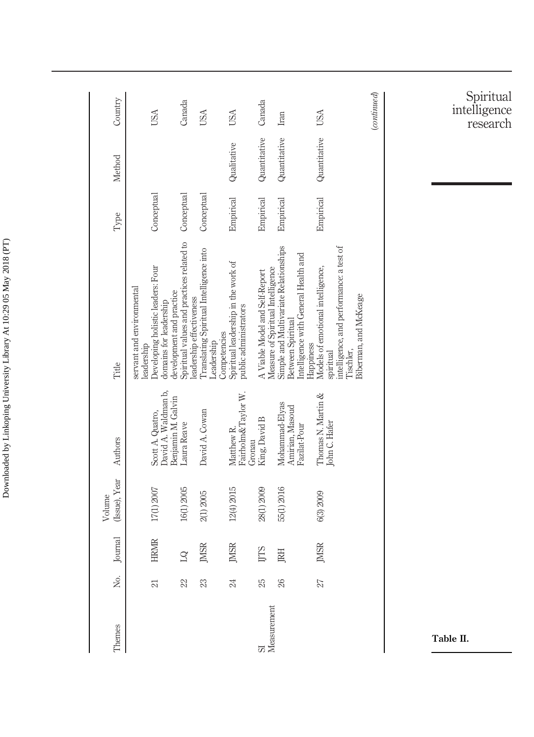|                   |                  |                         | Volume                  |                                                   |                                                                                                                  |                          |              |                           |
|-------------------|------------------|-------------------------|-------------------------|---------------------------------------------------|------------------------------------------------------------------------------------------------------------------|--------------------------|--------------|---------------------------|
| Themes            | Š.               | Journal                 | (Issue), Year           | Authors                                           | Title                                                                                                            | Type                     | Method       | Country                   |
|                   | $\mathbb{Z}$     | <b>HRMR</b>             | 17(1) 2007              | Scott A. Quatro,                                  | Developing holistic leaders: Four<br>servant and environmental<br>leadership                                     | Conceptual               |              | USA                       |
|                   |                  |                         |                         | David A. Waldman b,<br>Benjamin M. Galvin         | development and practice<br>domains for leadership                                                               |                          |              |                           |
|                   | $22\,$<br>$23\,$ | <b>JMSR</b><br>$\Omega$ | 16(1) 2005<br>2(1) 2005 | David A. Cowan<br>Laura Reave                     | Spiritual values and practices related to<br>Translating Spiritual Intelligence into<br>leadership effectiveness | Conceptual<br>Conceptual |              | Canada<br><b>USA</b>      |
|                   |                  |                         |                         |                                                   | Competencies<br>Leadership                                                                                       |                          |              |                           |
|                   | $\mathbb{Z}$     | <b>JMSR</b>             | 12(4) 2015              | Fairholm&Taylor W.<br>Matthew R.<br>Gronau        | Spiritual leadership in the work of<br>public administrators                                                     | Empirical                | Qualitative  | <b>USA</b>                |
| SI<br>Measurement | $25$             | <b>Sult</b>             | 28(1) 2009              | King, David B                                     | Measure of Spiritual Intelligence<br>A Viable Model and Self-Report                                              | Empirical                | Quantitative | Canada                    |
|                   | 26               | JRH                     | 55(1) 2016              | Mohammad-Elyas<br>Amirian, Masoud<br>Fazilat-Pour | Simple and Multivariate Relationships<br>Intelligence with General Health and<br>Between Spiritual<br>Happiness  | Empirical                | Quantitative | Iran                      |
|                   | 27               | <b>JMSR</b>             | 6(3) 2009               | Thomas N. Martin &<br>John C. Hafer               | intelligence, and performance: a test of<br>Models of emotional intelligence,<br>spiritual                       | Empirical                | Quantitative | <b>USA</b>                |
|                   |                  |                         |                         |                                                   | Biberman, and McKeage<br>Tischler,                                                                               |                          |              |                           |
|                   |                  |                         |                         |                                                   |                                                                                                                  |                          |              | (continued)               |
|                   |                  |                         |                         |                                                   |                                                                                                                  |                          |              |                           |
| Table II.         |                  |                         |                         |                                                   |                                                                                                                  |                          |              | S<br>inte<br>$\mathbf{r}$ |

Downloaded by Linkoping University Library At 10:29 05 May 2018 (PT) Downloaded by Linkoping University Library At 10:29 05 May 2018 (PT)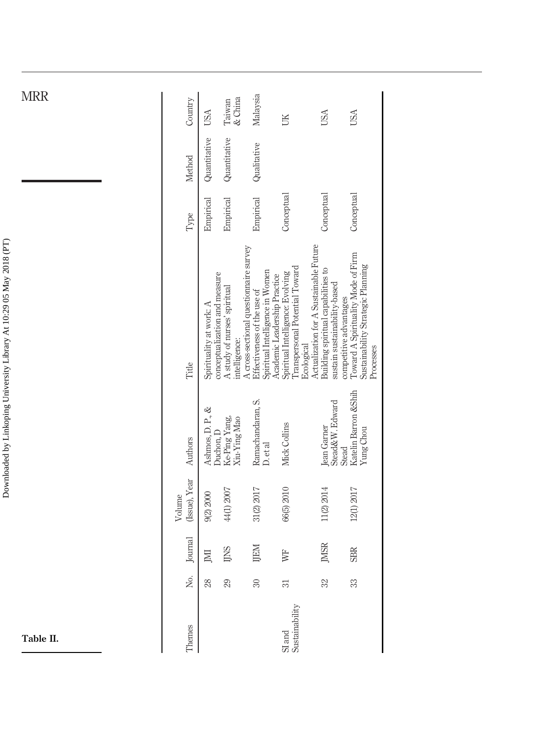| RR         | Country                 | <b>USA</b>                                               | & China<br>Taiwan                                                                       | Malaysia                                                                                       |                                                                                                                            | <b>USA</b>                                                                                   | <b>USA</b>                                                                           |
|------------|-------------------------|----------------------------------------------------------|-----------------------------------------------------------------------------------------|------------------------------------------------------------------------------------------------|----------------------------------------------------------------------------------------------------------------------------|----------------------------------------------------------------------------------------------|--------------------------------------------------------------------------------------|
|            |                         |                                                          |                                                                                         |                                                                                                | UК                                                                                                                         |                                                                                              |                                                                                      |
|            | Method                  | Quantitative                                             | Quantitative                                                                            | Qualitative                                                                                    |                                                                                                                            |                                                                                              |                                                                                      |
|            | Type                    | Empirical                                                | Empirical                                                                               | Empirical                                                                                      | Conceptual                                                                                                                 | Conceptual                                                                                   | Conceptual                                                                           |
|            | Title                   | conceptualization and measure<br>Spirituality at work: A | A cross-sectional questionnaire survey<br>A study of nurses' spiritual<br>intelligence: | Spiritual Intelligence in Women<br>Academic Leadership Practice<br>Effectiveness of the use of | Actualization for A Sustainable Future<br>Transpersonal Potential Toward<br>Spiritual Intelligence: Evolving<br>Ecological | Building spiritual capabilities to<br>sustain sustainability-based<br>competitive advantages | Toward A Spirituality Mode of Firm<br>Sustainability Strategic Planning<br>Processes |
|            | Authors                 | Ashmos, D.P., &<br>Duchon, D                             | Ke-Ping Yang,<br>Xiu-Ying Mao                                                           | Ramachandaran, S.<br>D. et al                                                                  | Mick Collins                                                                                                               | Stead&W. Edward<br>Jean Garner<br>Stead                                                      | Katelin Barron &Shih<br>Yung Chou                                                    |
|            | (Issue), Year<br>Volume | 9(2) 2000                                                | 44(1) 2007                                                                              | 31(2) 2017                                                                                     | 66(5) 2010                                                                                                                 | 11(2) 2014                                                                                   | 12(1) 2017                                                                           |
|            | Journal                 | $\mathbb N$                                              | <b>IJNS</b>                                                                             | IJEM                                                                                           | F                                                                                                                          | <b>JMSR</b>                                                                                  | <b>SBR</b>                                                                           |
|            | Ź.                      | 28                                                       | $29\,$                                                                                  | $\boldsymbol{\mathrm{30}}$                                                                     | 51                                                                                                                         | 32                                                                                           | 33                                                                                   |
| ble $II$ . | Themes                  |                                                          |                                                                                         |                                                                                                | SI and<br>Sustainability                                                                                                   |                                                                                              |                                                                                      |

MR

Downloaded by Linkoping University Library At 10:29 05 May 2018 (PT) Downloaded by Linkoping University Library At 10:29 05 May 2018 (PT)

Tal

 $\overline{a}$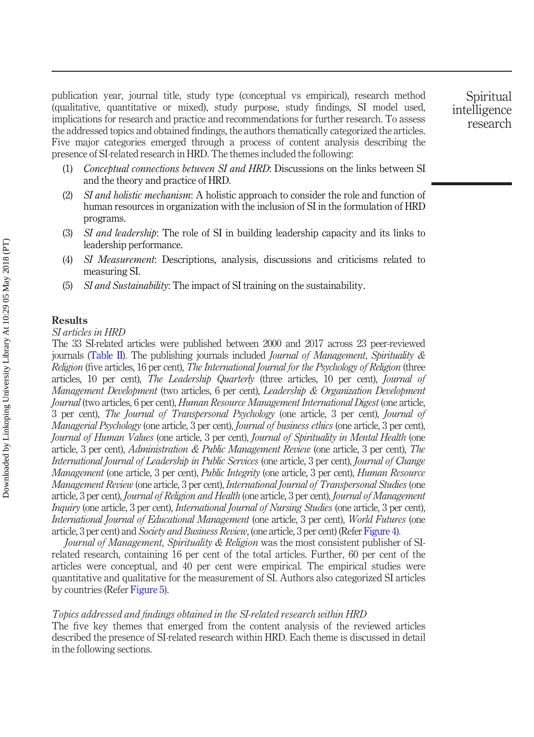publication year, journal title, study type (conceptual vs empirical), research method (qualitative, quantitative or mixed), study purpose, study findings, SI model used, implications for research and practice and recommendations for further research. To assess the addressed topics and obtained findings, the authors thematically categorized the articles. Five major categories emerged through a process of content analysis describing the presence of SI-related research in HRD. The themes included the following:

- (1) Conceptual connections between SI and HRD: Discussions on the links between SI and the theory and practice of HRD.
- (2) SI and holistic mechanism: A holistic approach to consider the role and function of human resources in organization with the inclusion of SI in the formulation of HRD programs.
- (3) SI and leadership: The role of SI in building leadership capacity and its links to leadership performance.
- (4) SI Measurement: Descriptions, analysis, discussions and criticisms related to measuring SI.
- (5) SI and Sustainability: The impact of SI training on the sustainability.

#### **Results**

#### SI articles in HRD

The 33 SI-related articles were published between 2000 and 2017 across 23 peer-reviewed journals [\(Table II](#page-7-0)). The publishing journals included Journal of Management, Spirituality & Religion (five articles, 16 per cent), The International Journal for the Psychology of Religion (three articles, 10 per cent), The Leadership Quarterly (three articles, 10 per cent), Journal of Management Development (two articles, 6 per cent), Leadership & Organization Development Journal (two articles, 6 per cent), Human Resource Management International Digest (one article, 3 per cent), The Journal of Transpersonal Psychology (one article, 3 per cent), Journal of Managerial Psychology (one article, 3 per cent), Journal of business ethics (one article, 3 per cent), Journal of Human Values (one article, 3 per cent), Journal of Spirituality in Mental Health (one article, 3 per cent), Administration & Public Management Review (one article, 3 per cent), The International Journal of Leadership in Public Services (one article, 3 per cent), Journal of Change Management (one article, 3 per cent), Public Integrity (one article, 3 per cent), Human Resource Management Review (one article, 3 per cent), International Journal of Transpersonal Studies (one article, 3 per cent), Journal of Religion and Health (one article, 3 per cent), Journal of Management Inquiry (one article, 3 per cent), International Journal of Nursing Studies (one article, 3 per cent), International Journal of Educational Management (one article, 3 per cent), World Futures (one article, 3 per cent) and Society and Business Review, (one article, 3 per cent) (Refer [Figure 4](#page-12-0)).

Journal of Management, Spirituality & Religion was the most consistent publisher of SIrelated research, containing 16 per cent of the total articles. Further, 60 per cent of the articles were conceptual, and 40 per cent were empirical. The empirical studies were quantitative and qualitative for the measurement of SI. Authors also categorized SI articles by countries (Refer [Figure 5\)](#page-12-1).

#### Topics addressed and findings obtained in the SI-related research within HRD

The five key themes that emerged from the content analysis of the reviewed articles described the presence of SI-related research within HRD. Each theme is discussed in detail in the following sections.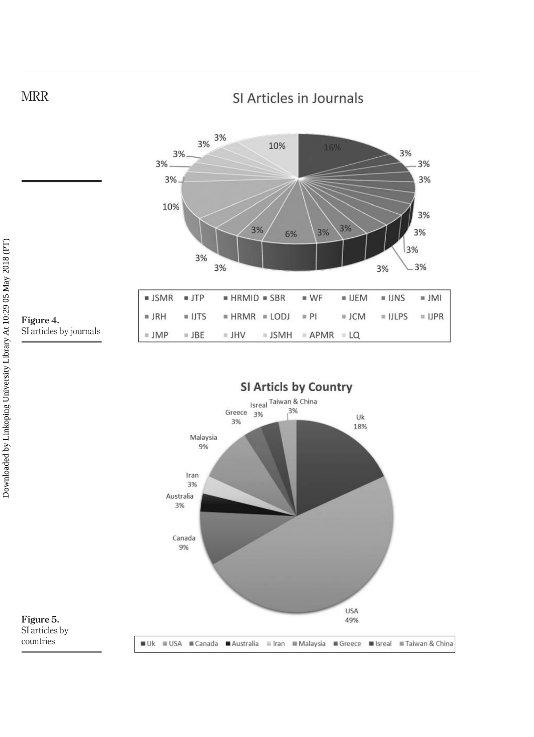<span id="page-12-1"></span><span id="page-12-0"></span>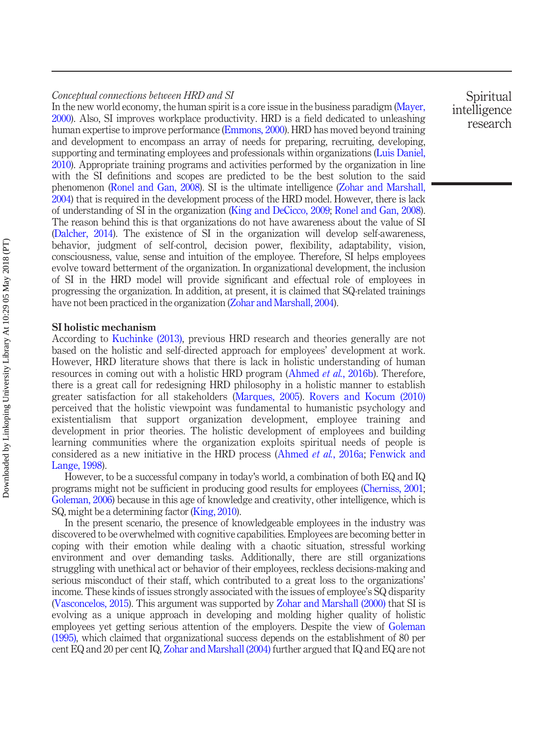#### Conceptual connections between HRD and SI

In the new world economy, the human spirit is a core issue in the business paradigm ([Mayer,](#page-19-16) [2000\)](#page-19-16). Also, SI improves workplace productivity. HRD is a field dedicated to unleashing human expertise to improve performance [\(Emmons, 2000\)](#page-18-8). HRD has moved beyond training and development to encompass an array of needs for preparing, recruiting, developing, supporting and terminating employees and professionals within organizations ([Luis Daniel,](#page-18-13) [2010\)](#page-18-13). Appropriate training programs and activities performed by the organization in line with the SI definitions and scopes are predicted to be the best solution to the said phenomenon ([Ronel and Gan, 2008](#page-19-11)). SI is the ultimate intelligence [\(Zohar and Marshall,](#page-20-11) [2004\)](#page-20-11) that is required in the development process of the HRD model. However, there is lack of understanding of SI in the organization ([King and DeCicco, 2009;](#page-18-14) [Ronel and Gan, 2008\)](#page-19-11). The reason behind this is that organizations do not have awareness about the value of SI [\(Dalcher, 2014](#page-17-5)). The existence of SI in the organization will develop self-awareness, behavior, judgment of self-control, decision power, flexibility, adaptability, vision, consciousness, value, sense and intuition of the employee. Therefore, SI helps employees evolve toward betterment of the organization. In organizational development, the inclusion of SI in the HRD model will provide significant and effectual role of employees in progressing the organization. In addition, at present, it is claimed that SQ-related trainings have not been practiced in the organization ([Zohar and Marshall, 2004](#page-20-11)).

#### SI holistic mechanism

According to [Kuchinke \(2013\)](#page-18-15), previous HRD research and theories generally are not based on the holistic and self-directed approach for employees' development at work. However, HRD literature shows that there is lack in holistic understanding of human resources in coming out with a holistic HRD program (Ahmed *et al.*[, 2016b](#page-17-6)). Therefore, there is a great call for redesigning HRD philosophy in a holistic manner to establish greater satisfaction for all stakeholders ([Marques, 2005\)](#page-19-17). [Rovers and Kocum \(2010\)](#page-19-18) perceived that the holistic viewpoint was fundamental to humanistic psychology and existentialism that support organization development, employee training and development in prior theories. The holistic development of employees and building learning communities where the organization exploits spiritual needs of people is considered as a new initiative in the HRD process [\(Ahmed](#page-17-0) et al., 2016a; [Fenwick and](#page-18-16) [Lange, 1998](#page-18-16)).

However, to be a successful company in today's world, a combination of both EQ and IQ programs might not be sufficient in producing good results for employees [\(Cherniss, 2001](#page-17-7); [Goleman, 2006\)](#page-18-17) because in this age of knowledge and creativity, other intelligence, which is SQ, might be a determining factor ([King, 2010\)](#page-18-18).

In the present scenario, the presence of knowledgeable employees in the industry was discovered to be overwhelmed with cognitive capabilities. Employees are becoming better in coping with their emotion while dealing with a chaotic situation, stressful working environment and over demanding tasks. Additionally, there are still organizations struggling with unethical act or behavior of their employees, reckless decisions-making and serious misconduct of their staff, which contributed to a great loss to the organizations' income. These kinds of issues strongly associated with the issues of employee's SQ disparity [\(Vasconcelos, 2015\)](#page-20-12). This argument was supported by [Zohar and Marshall \(2000\)](#page-20-13) that SI is evolving as a unique approach in developing and molding higher quality of holistic employees yet getting serious attention of the employers. Despite the view of [Goleman](#page-18-19) [\(1995\)](#page-18-19), which claimed that organizational success depends on the establishment of 80 per cent EQ and 20 per cent IQ, [Zohar and Marshall \(2004\)](#page-20-11) further argued that IQ and EQ are not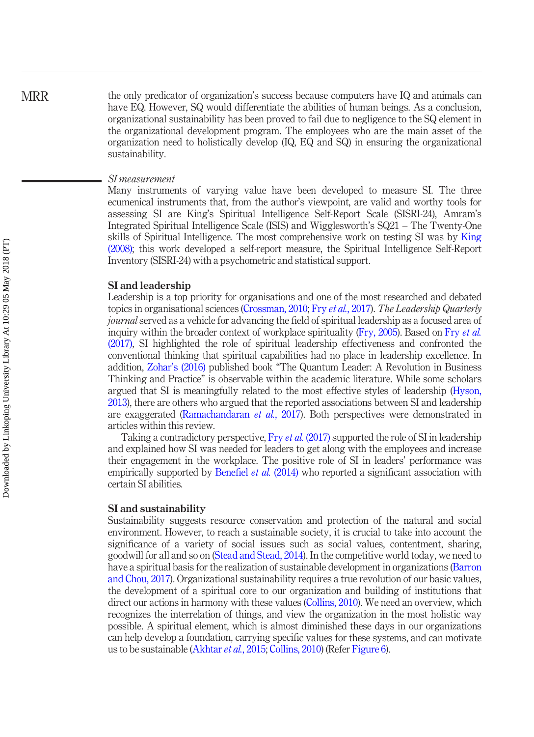the only predicator of organization's success because computers have IQ and animals can have EQ. However, SQ would differentiate the abilities of human beings. As a conclusion, organizational sustainability has been proved to fail due to negligence to the SQ element in the organizational development program. The employees who are the main asset of the organization need to holistically develop (IQ, EQ and SQ) in ensuring the organizational sustainability.

#### SI measurement

Many instruments of varying value have been developed to measure SI. The three ecumenical instruments that, from the author's viewpoint, are valid and worthy tools for assessing SI are King's Spiritual Intelligence Self-Report Scale (SISRI-24), Amram's Integrated Spiritual Intelligence Scale (ISIS) and Wigglesworth's SQ21 – The Twenty-One skills of Spiritual Intelligence. The most comprehensive work on testing SI was by [King](#page-18-1) [\(2008\)](#page-18-1); this work developed a self-report measure, the Spiritual Intelligence Self-Report Inventory (SISRI-24) with a psychometric and statistical support.

#### SI and leadership

Leadership is a top priority for organisations and one of the most researched and debated topics in organisational sciences [\(Crossman, 2010](#page-17-8); Fry et al.[, 2017](#page-18-12)). The Leadership Quarterly journal served as a vehicle for advancing the field of spiritual leadership as a focused area of inquiry within the broader context of workplace spirituality [\(Fry, 2005](#page-18-20)). Based on Fry *[et al.](#page-18-12)* [\(2017\)](#page-18-12), SI highlighted the role of spiritual leadership effectiveness and confronted the conventional thinking that spiritual capabilities had no place in leadership excellence. In addition, Zohar'[s \(2016\)](#page-20-14) published book "The Quantum Leader: A Revolution in Business Thinking and Practice" is observable within the academic literature. While some scholars argued that SI is meaningfully related to the most effective styles of leadership ([Hyson,](#page-18-21) [2013](#page-18-21)), there are others who argued that the reported associations between SI and leadership are exaggerated ([Ramachandaran](#page-19-19) et al., 2017). Both perspectives were demonstrated in articles within this review.

Taking a contradictory perspective, Fry *et al.* [\(2017\)](#page-18-12) supported the role of SI in leadership and explained how SI was needed for leaders to get along with the employees and increase their engagement in the workplace. The positive role of SI in leaders' performance was empirically supported by Benefiel *et al.* [\(2014\)](#page-17-9) who reported a significant association with certain SI abilities.

#### SI and sustainability

Sustainability suggests resource conservation and protection of the natural and social environment. However, to reach a sustainable society, it is crucial to take into account the significance of a variety of social issues such as social values, contentment, sharing, goodwill for all and so on [\(Stead and Stead, 2014](#page-20-15)). In the competitive world today, we need to have a spiritual basis for the realization of sustainable development in organizations ([Barron](#page-17-10) [and Chou, 2017](#page-17-10)). Organizational sustainability requires a true revolution of our basic values, the development of a spiritual core to our organization and building of institutions that direct our actions in harmony with these values [\(Collins, 2010\)](#page-17-3). We need an overview, which recognizes the interrelation of things, and view the organization in the most holistic way possible. A spiritual element, which is almost diminished these days in our organizations can help develop a foundation, carrying specific values for these systems, and can motivate us to be sustainable ([Akhtar](#page-17-2) et al., 2015; [Collins, 2010\)](#page-17-3) (Refer [Figure 6\)](#page-15-0).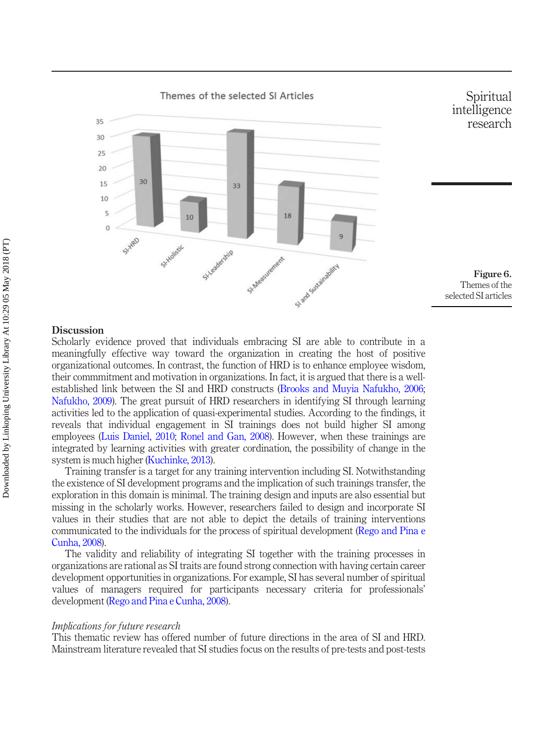

#### **Discussion**

<span id="page-15-0"></span>Scholarly evidence proved that individuals embracing SI are able to contribute in a meaningfully effective way toward the organization in creating the host of positive organizational outcomes. In contrast, the function of HRD is to enhance employee wisdom, their commmitment and motivation in organizations. In fact, it is argued that there is a wellestablished link between the SI and HRD constructs ([Brooks and Muyia Nafukho, 2006](#page-17-11); [Nafukho, 2009\)](#page-19-20). The great pursuit of HRD researchers in identifying SI through learning activities led to the application of quasi-experimental studies. According to the findings, it reveals that individual engagement in SI trainings does not build higher SI among employees ([Luis Daniel, 2010](#page-18-13); [Ronel and Gan, 2008\)](#page-19-11). However, when these trainings are integrated by learning activities with greater cordination, the possibility of change in the system is much higher ([Kuchinke, 2013](#page-18-15)).

Training transfer is a target for any training intervention including SI. Notwithstanding the existence of SI development programs and the implication of such trainings transfer, the exploration in this domain is minimal. The training design and inputs are also essential but missing in the scholarly works. However, researchers failed to design and incorporate SI values in their studies that are not able to depict the details of training interventions communicated to the individuals for the process of spiritual development [\(Rego and Pina e](#page-19-9) [Cunha, 2008\)](#page-19-9).

The validity and reliability of integrating SI together with the training processes in organizations are rational as SI traits are found strong connection with having certain career development opportunities in organizations. For example, SI has several number of spiritual values of managers required for participants necessary criteria for professionals' development ([Rego and Pina e Cunha, 2008\)](#page-19-9).

#### Implications for future research

This thematic review has offered number of future directions in the area of SI and HRD. Mainstream literature revealed that SI studies focus on the results of pre-tests and post-tests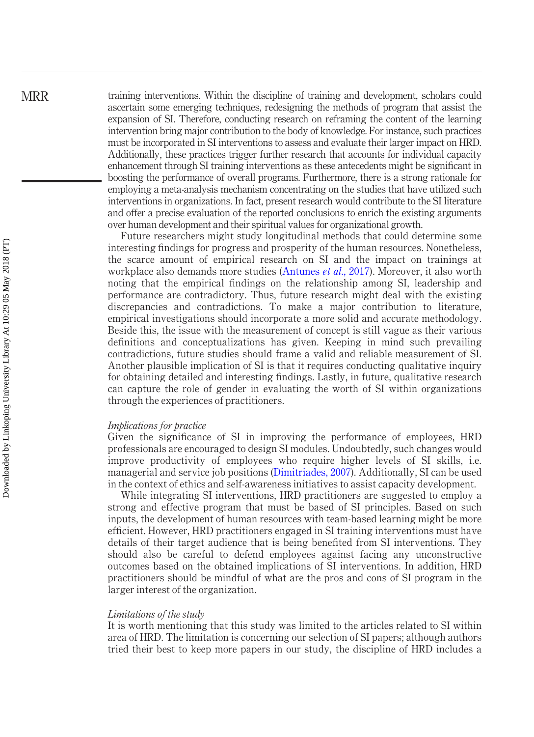training interventions. Within the discipline of training and development, scholars could ascertain some emerging techniques, redesigning the methods of program that assist the expansion of SI. Therefore, conducting research on reframing the content of the learning intervention bring major contribution to the body of knowledge. For instance, such practices must be incorporated in SI interventions to assess and evaluate their larger impact on HRD. Additionally, these practices trigger further research that accounts for individual capacity enhancement through SI training interventions as these antecedents might be significant in boosting the performance of overall programs. Furthermore, there is a strong rationale for employing a meta-analysis mechanism concentrating on the studies that have utilized such interventions in organizations. In fact, present research would contribute to the SI literature and offer a precise evaluation of the reported conclusions to enrich the existing arguments over human development and their spiritual values for organizational growth.

Future researchers might study longitudinal methods that could determine some interesting findings for progress and prosperity of the human resources. Nonetheless, the scarce amount of empirical research on SI and the impact on trainings at workplace also demands more studies ([Antunes](#page-17-12) *et al.*, 2017). Moreover, it also worth noting that the empirical findings on the relationship among SI, leadership and performance are contradictory. Thus, future research might deal with the existing discrepancies and contradictions. To make a major contribution to literature, empirical investigations should incorporate a more solid and accurate methodology. Beside this, the issue with the measurement of concept is still vague as their various definitions and conceptualizations has given. Keeping in mind such prevailing contradictions, future studies should frame a valid and reliable measurement of SI. Another plausible implication of SI is that it requires conducting qualitative inquiry for obtaining detailed and interesting findings. Lastly, in future, qualitative research can capture the role of gender in evaluating the worth of SI within organizations through the experiences of practitioners.

#### Implications for practice

Given the significance of SI in improving the performance of employees, HRD professionals are encouraged to design SI modules. Undoubtedly, such changes would improve productivity of employees who require higher levels of SI skills, i.e. managerial and service job positions ([Dimitriades, 2007](#page-18-22)). Additionally, SI can be used in the context of ethics and self-awareness initiatives to assist capacity development.

While integrating SI interventions, HRD practitioners are suggested to employ a strong and effective program that must be based of SI principles. Based on such inputs, the development of human resources with team-based learning might be more efficient. However, HRD practitioners engaged in SI training interventions must have details of their target audience that is being benefited from SI interventions. They should also be careful to defend employees against facing any unconstructive outcomes based on the obtained implications of SI interventions. In addition, HRD practitioners should be mindful of what are the pros and cons of SI program in the larger interest of the organization.

#### Limitations of the study

It is worth mentioning that this study was limited to the articles related to SI within area of HRD. The limitation is concerning our selection of SI papers; although authors tried their best to keep more papers in our study, the discipline of HRD includes a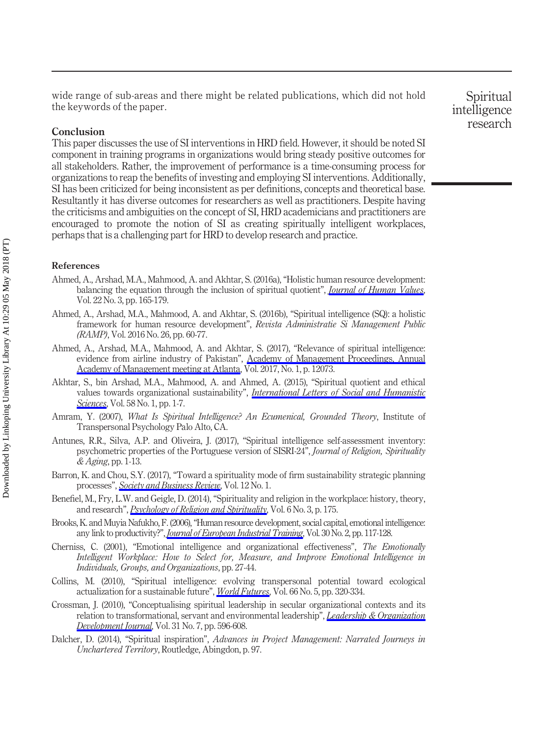wide range of sub-areas and there might be related publications, which did not hold the keywords of the paper.

#### Conclusion

This paper discusses the use of SI interventions in HRD field. However, it should be noted SI component in training programs in organizations would bring steady positive outcomes for all stakeholders. Rather, the improvement of performance is a time-consuming process for organizations to reap the benefits of investing and employing SI interventions. Additionally, SI has been criticized for being inconsistent as per definitions, concepts and theoretical base. Resultantly it has diverse outcomes for researchers as well as practitioners. Despite having the criticisms and ambiguities on the concept of SI, HRD academicians and practitioners are encouraged to promote the notion of SI as creating spiritually intelligent workplaces, perhaps that is a challenging part for HRD to develop research and practice.

#### References

- <span id="page-17-0"></span>Ahmed, A., Arshad, M.A., Mahmood, A. and Akhtar, S. (2016a), "Holistic human resource development: balancing the equation through the inclusion of spiritual quotient", *[Journal of Human Values](https://www.emeraldinsight.com/action/showLinks?doi=10.1108%2FMRR-03-2017-0073&crossref=10.1177%2F0971685816650573&citationId=p_1)*, Vol. 22 No. 3, pp. 165-179.
- <span id="page-17-6"></span>Ahmed, A., Arshad, M.A., Mahmood, A. and Akhtar, S. (2016b), "Spiritual intelligence (SQ): a holistic framework for human resource development", Revista Administratie Si Management Public (RAMP), Vol. 2016 No. 26, pp. 60-77.
- <span id="page-17-4"></span>Ahmed, A., Arshad, M.A., Mahmood, A. and Akhtar, S. (2017), "Relevance of spiritual intelligence: evidence from airline industry of Pakistan", [Academy of Management Proceedings, Annual](https://www.emeraldinsight.com/action/showLinks?doi=10.1108%2FMRR-03-2017-0073&crossref=10.5465%2FAMBPP.2017.12073abstract&citationId=p_3) [Academy of Management meeting at Atlanta](https://www.emeraldinsight.com/action/showLinks?doi=10.1108%2FMRR-03-2017-0073&crossref=10.5465%2FAMBPP.2017.12073abstract&citationId=p_3), Vol. 2017, No. 1, p. 12073.
- <span id="page-17-2"></span>Akhtar, S., bin Arshad, M.A., Mahmood, A. and Ahmed, A. (2015), "Spiritual quotient and ethical values towards organizational sustainability", [International Letters of Social and Humanistic](https://www.emeraldinsight.com/action/showLinks?doi=10.1108%2FMRR-03-2017-0073&crossref=10.18052%2Fwww.scipress.com%2FILSHS.58.1&citationId=p_4) [Sciences](https://www.emeraldinsight.com/action/showLinks?doi=10.1108%2FMRR-03-2017-0073&crossref=10.18052%2Fwww.scipress.com%2FILSHS.58.1&citationId=p_4), Vol. 58 No. 1, pp. 1-7.
- <span id="page-17-1"></span>Amram, Y. (2007), What Is Spiritual Intelligence? An Ecumenical, Grounded Theory, Institute of Transpersonal Psychology Palo Alto, CA.
- <span id="page-17-12"></span>Antunes, R.R., Silva, A.P. and Oliveira, J. (2017), "Spiritual intelligence self-assessment inventory: psychometric properties of the Portuguese version of SISRI-24", Journal of Religion, Spirituality & Aging, pp. 1-13.
- <span id="page-17-10"></span>Barron, K. and Chou, S.Y. (2017), "Toward a spirituality mode of firm sustainability strategic planning processes", [Society and Business Review](https://www.emeraldinsight.com/action/showLinks?doi=10.1108%2FMRR-03-2017-0073&system=10.1108%2FSBR-01-2016-0008&citationId=p_7), Vol. 12 No. 1.
- <span id="page-17-9"></span>Benefiel, M., Fry, L.W. and Geigle, D. (2014), "Spirituality and religion in the workplace: history, theory, and research", *[Psychology of Religion and Spirituality](https://www.emeraldinsight.com/action/showLinks?doi=10.1108%2FMRR-03-2017-0073&crossref=10.1037%2Fa0036597&citationId=p_8)*, Vol. 6 No. 3, p. 175.
- <span id="page-17-11"></span>Brooks, K. and Muyia Nafukho, F. (2006),"Human resource development, social capital, emotional intelligence: any link to productivity?", *[Journal of European Industrial Training](https://www.emeraldinsight.com/action/showLinks?doi=10.1108%2FMRR-03-2017-0073&system=10.1108%2F03090590610651258&citationId=p_9)*, Vol. 30 No. 2, pp. 117-128.
- <span id="page-17-7"></span>Cherniss, C. (2001), "Emotional intelligence and organizational effectiveness", The Emotionally Intelligent Workplace: How to Select for, Measure, and Improve Emotional Intelligence in Individuals, Groups, and Organizations, pp. 27-44.
- <span id="page-17-3"></span>Collins, M. (2010), "Spiritual intelligence: evolving transpersonal potential toward ecological actualization for a sustainable future", *[World Futures](https://www.emeraldinsight.com/action/showLinks?doi=10.1108%2FMRR-03-2017-0073&crossref=10.1080%2F02604020903423527&citationId=p_11)*, Vol. 66 No. 5, pp. 320-334.
- <span id="page-17-8"></span>Crossman, J. (2010), "Conceptualising spiritual leadership in secular organizational contexts and its relation to transformational, servant and environmental leadership", *[Leadership & Organization](https://www.emeraldinsight.com/action/showLinks?doi=10.1108%2FMRR-03-2017-0073&system=10.1108%2F01437731011079646&citationId=p_12)* [Development Journal](https://www.emeraldinsight.com/action/showLinks?doi=10.1108%2FMRR-03-2017-0073&system=10.1108%2F01437731011079646&citationId=p_12), Vol. 31 No. 7, pp. 596-608.
- <span id="page-17-5"></span>Dalcher, D. (2014), "Spiritual inspiration", Advances in Project Management: Narrated Journeys in Unchartered Territory, Routledge, Abingdon, p. 97.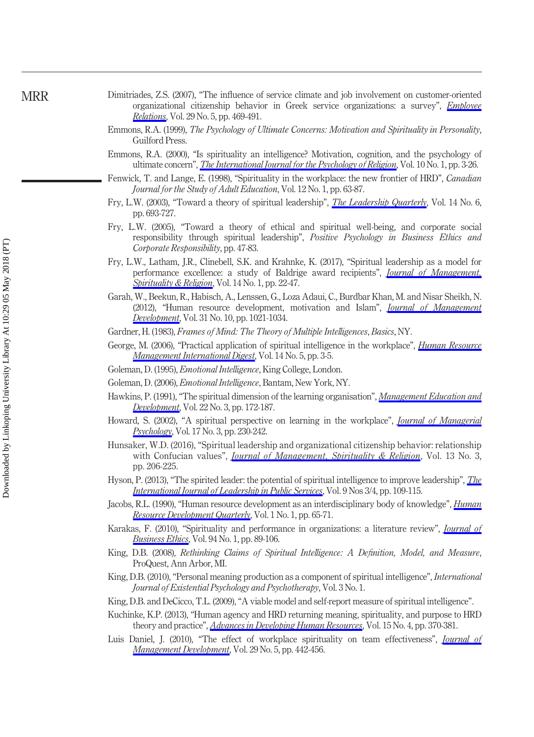- <span id="page-18-22"></span>Dimitriades, Z.S. (2007), "The influence of service climate and job involvement on customer-oriented organizational citizenship behavior in Greek service organizations: a survey", *[Employee](https://www.emeraldinsight.com/action/showLinks?doi=10.1108%2FMRR-03-2017-0073&system=10.1108%2F01425450710776290&citationId=p_14)* [Relations](https://www.emeraldinsight.com/action/showLinks?doi=10.1108%2FMRR-03-2017-0073&system=10.1108%2F01425450710776290&citationId=p_14), Vol. 29 No. 5, pp. 469-491.
- <span id="page-18-11"></span>Emmons, R.A. (1999), The Psychology of Ultimate Concerns: Motivation and Spirituality in Personality, Guilford Press.
- <span id="page-18-8"></span>Emmons, R.A. (2000), "Is spirituality an intelligence? Motivation, cognition, and the psychology of ultimate concern", [The International Journal for the Psychology of Religion](https://www.emeraldinsight.com/action/showLinks?doi=10.1108%2FMRR-03-2017-0073&crossref=10.1207%2FS15327582IJPR1001_2&citationId=p_16), Vol. 10 No. 1, pp. 3-26.
- <span id="page-18-16"></span>Fenwick, T. and Lange, E. (1998), "Spirituality in the workplace: the new frontier of HRD", Canadian Journal for the Study of Adult Education, Vol. 12 No. 1, pp. 63-87.
- <span id="page-18-10"></span>Fry, L.W. (2003), "Toward a theory of spiritual leadership", *[The Leadership Quarterly](https://www.emeraldinsight.com/action/showLinks?doi=10.1108%2FMRR-03-2017-0073&crossref=10.1016%2Fj.leaqua.2003.09.001&citationId=p_18)*, Vol. 14 No. 6, pp. 693-727.
- <span id="page-18-20"></span>Fry, L.W. (2005), "Toward a theory of ethical and spiritual well-being, and corporate social responsibility through spiritual leadership", Positive Psychology in Business Ethics and Corporate Responsibility, pp. 47-83.
- <span id="page-18-12"></span>Fry, L.W., Latham, J.R., Clinebell, S.K. and Krahnke, K. (2017), "Spiritual leadership as a model for performance excellence: a study of Baldrige award recipients", *Journal of Management*, [Spirituality & Religion](https://www.emeraldinsight.com/action/showLinks?doi=10.1108%2FMRR-03-2017-0073&crossref=10.1080%2F14766086.2016.1202130&citationId=p_20), Vol. 14 No. 1, pp. 22-47.
- <span id="page-18-7"></span>Garah, W., Beekun, R., Habisch, A., Lenssen, G., Loza Adaui, C., Burdbar Khan, M. and Nisar Sheikh, N. (2012), "Human resource development, motivation and Islam", *[Journal of Management](https://www.emeraldinsight.com/action/showLinks?doi=10.1108%2FMRR-03-2017-0073&system=10.1108%2F02621711211281807&citationId=p_21)* **[Development](https://www.emeraldinsight.com/action/showLinks?doi=10.1108%2FMRR-03-2017-0073&system=10.1108%2F02621711211281807&citationId=p_21)**, Vol. 31 No. 10, pp. 1021-1034.
- <span id="page-18-9"></span>Gardner, H. (1983), Frames of Mind: The Theory of Multiple Intelligences, Basics, NY.
- <span id="page-18-5"></span>George, M. (2006), "Practical application of spiritual intelligence in the workplace", [Human Resource](https://www.emeraldinsight.com/action/showLinks?doi=10.1108%2FMRR-03-2017-0073&system=10.1108%2F09670730610678181&citationId=p_23) [Management International Digest](https://www.emeraldinsight.com/action/showLinks?doi=10.1108%2FMRR-03-2017-0073&system=10.1108%2F09670730610678181&citationId=p_23), Vol. 14 No. 5, pp. 3-5.
- <span id="page-18-19"></span>Goleman, D. (1995), Emotional Intelligence, King College, London.
- <span id="page-18-17"></span>Goleman, D. (2006), Emotional Intelligence, Bantam, New York, NY.
- <span id="page-18-3"></span>Hawkins, P. (1991), "The spiritual dimension of the learning organisation", *[Management Education and](https://www.emeraldinsight.com/action/showLinks?doi=10.1108%2FMRR-03-2017-0073&crossref=10.1177%2F135050769102200304&citationId=p_26)* [Development](https://www.emeraldinsight.com/action/showLinks?doi=10.1108%2FMRR-03-2017-0073&crossref=10.1177%2F135050769102200304&citationId=p_26), Vol. 22 No. 3, pp. 172-187.
- <span id="page-18-4"></span>Howard, S. (2002), "A spiritual perspective on learning in the workplace", [Journal of Managerial](https://www.emeraldinsight.com/action/showLinks?doi=10.1108%2FMRR-03-2017-0073&system=10.1108%2F02683940210423132&citationId=p_27) [Psychology](https://www.emeraldinsight.com/action/showLinks?doi=10.1108%2FMRR-03-2017-0073&system=10.1108%2F02683940210423132&citationId=p_27), Vol. 17 No. 3, pp. 230-242.
- <span id="page-18-2"></span>Hunsaker, W.D. (2016), "Spiritual leadership and organizational citizenship behavior: relationship with Confucian values", *Journal of Management*, *Spirituality & Religion*, Vol. 13 No. 3, pp. 206-225.
- <span id="page-18-21"></span>Hyson, P. (2013), "[The](https://www.emeraldinsight.com/action/showLinks?doi=10.1108%2FMRR-03-2017-0073&system=10.1108%2FIJLPS-10-2013-0028&citationId=p_29) spirited leader: the potential of spiritual intelligence to improve leadership", *The* [International Journal of Leadership in Public Services](https://www.emeraldinsight.com/action/showLinks?doi=10.1108%2FMRR-03-2017-0073&system=10.1108%2FIJLPS-10-2013-0028&citationId=p_29), Vol. 9 Nos 3/4, pp. 109-115.
- <span id="page-18-6"></span>Jacobs, R.L. (1990), "Human resource development as an interdisciplinary body of knowledge", [Human](https://www.emeraldinsight.com/action/showLinks?doi=10.1108%2FMRR-03-2017-0073&crossref=10.1002%2Fhrdq.3920010108&citationId=p_30) [Resource Development Quarterly](https://www.emeraldinsight.com/action/showLinks?doi=10.1108%2FMRR-03-2017-0073&crossref=10.1002%2Fhrdq.3920010108&citationId=p_30), Vol. 1 No. 1, pp. 65-71.
- <span id="page-18-0"></span>Karakas, F. (2010), "Spirituality and performance in organizations: a literature review", [Journal of](https://www.emeraldinsight.com/action/showLinks?doi=10.1108%2FMRR-03-2017-0073&crossref=10.1007%2Fs10551-009-0251-5&citationId=p_31) [Business Ethics](https://www.emeraldinsight.com/action/showLinks?doi=10.1108%2FMRR-03-2017-0073&crossref=10.1007%2Fs10551-009-0251-5&citationId=p_31), Vol. 94 No. 1, pp. 89-106.
- <span id="page-18-1"></span>King, D.B. (2008), Rethinking Claims of Spiritual Intelligence: A Definition, Model, and Measure, ProQuest, Ann Arbor, MI.
- <span id="page-18-18"></span>King, D.B. (2010), "Personal meaning production as a component of spiritual intelligence", *International* Journal of Existential Psychology and Psychotherapy, Vol. 3 No. 1.
- <span id="page-18-14"></span>King, D.B. and DeCicco, T.L. (2009),"A viable model and self-report measure of spiritual intelligence".
- <span id="page-18-15"></span>Kuchinke, K.P. (2013), "Human agency and HRD returning meaning, spirituality, and purpose to HRD theory and practice", *[Advances in Developing Human Resources](https://www.emeraldinsight.com/action/showLinks?doi=10.1108%2FMRR-03-2017-0073&crossref=10.1177%2F1523422313498563&citationId=p_35)*, Vol. 15 No. 4, pp. 370-381.
- <span id="page-18-13"></span>Luis Daniel, J. (2010), "The effect of workplace spirituality on team effectiveness", *[Journal of](https://www.emeraldinsight.com/action/showLinks?doi=10.1108%2FMRR-03-2017-0073&system=10.1108%2F02621711011039213&citationId=p_36)* [Management Development](https://www.emeraldinsight.com/action/showLinks?doi=10.1108%2FMRR-03-2017-0073&system=10.1108%2F02621711011039213&citationId=p_36), Vol. 29 No. 5, pp. 442-456.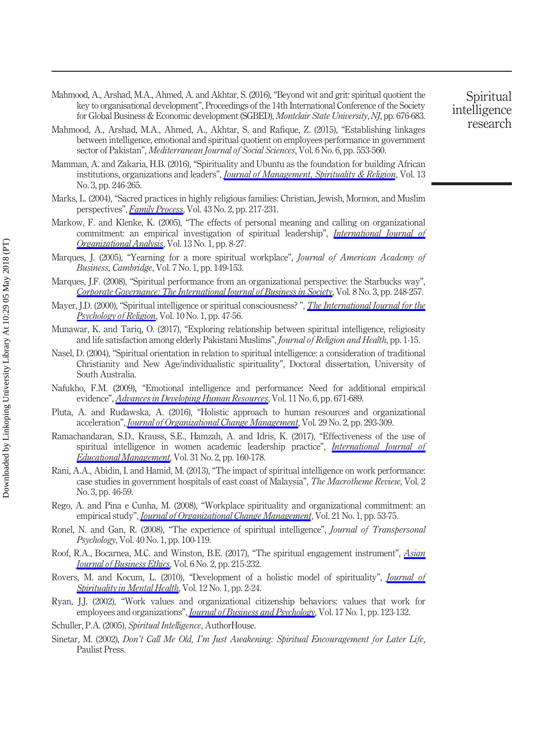- <span id="page-19-2"></span>Mahmood, A., Arshad, M.A., Ahmed, A. and Akhtar, S. (2016), "Beyond wit and grit: spiritual quotient the key to organisational development", Proceedings of the 14th International Conference of the Society for Global Business & Economic development (SGBED), Montclair State University, NJ, pp. 676-683.
- <span id="page-19-3"></span>Mahmood, A., Arshad, M.A., Ahmed, A., Akhtar, S. and Rafique, Z. (2015), "Establishing linkages between intelligence, emotional and spiritual quotient on employees performance in government sector of Pakistan", *Mediterranean Journal of Social Sciences*, Vol. 6 No. 6, pp. 553-560.
- <span id="page-19-0"></span>Mamman, A. and Zakaria, H.B. (2016), "Spirituality and Ubuntu as the foundation for building African institutions, organizations and leaders", *[Journal of Management, Spirituality & Religion](https://www.emeraldinsight.com/action/showLinks?doi=10.1108%2FMRR-03-2017-0073&crossref=10.1080%2F14766086.2016.1159976&citationId=p_39)*, Vol. 13 No. 3, pp. 246-265.
- <span id="page-19-14"></span>Marks, L. (2004), "Sacred practices in highly religious families: Christian, Jewish, Mormon, and Muslim perspectives", [Family Process](https://www.emeraldinsight.com/action/showLinks?doi=10.1108%2FMRR-03-2017-0073&crossref=10.1111%2Fj.1545-5300.2004.04302007.x&citationId=p_40), Vol. 43 No. 2, pp. 217-231.
- <span id="page-19-8"></span>Markow, F. and Klenke, K. (2005), "The effects of personal meaning and calling on organizational commitment: an empirical investigation of spiritual leadership", *[International Journal of](https://www.emeraldinsight.com/action/showLinks?doi=10.1108%2FMRR-03-2017-0073&system=10.1108%2Feb028995&citationId=p_41)* [Organizational Analysis](https://www.emeraldinsight.com/action/showLinks?doi=10.1108%2FMRR-03-2017-0073&system=10.1108%2Feb028995&citationId=p_41), Vol. 13 No. 1, pp. 8-27.
- <span id="page-19-17"></span>Marques, J. (2005), "Yearning for a more spiritual workplace", *Journal of American Academy of* Business, Cambridge, Vol. 7 No. 1, pp. 149-153.
- <span id="page-19-4"></span>Marques, J.F. (2008), "Spiritual performance from an organizational perspective: the Starbucks way", [Corporate Governance: The International Journal of Business in Society](https://www.emeraldinsight.com/action/showLinks?doi=10.1108%2FMRR-03-2017-0073&system=10.1108%2F14720700810879141&citationId=p_43), Vol. 8 No. 3, pp. 248-257.
- <span id="page-19-16"></span>Mayer, J.D. (2000), "Spiritual intelligence or spiritual consciousness?", *[The International Journal for the](https://www.emeraldinsight.com/action/showLinks?doi=10.1108%2FMRR-03-2017-0073&crossref=10.1207%2FS15327582IJPR1001_5&citationId=p_44)* [Psychology of Religion](https://www.emeraldinsight.com/action/showLinks?doi=10.1108%2FMRR-03-2017-0073&crossref=10.1207%2FS15327582IJPR1001_5&citationId=p_44), Vol. 10 No. 1, pp. 47-56.
- <span id="page-19-1"></span>Munawar, K. and Tariq, O. (2017), "Exploring relationship between spiritual intelligence, religiosity and life satisfaction among elderly Pakistani Muslims", Journal of Religion and Health, pp. 1-15.
- <span id="page-19-13"></span>Nasel, D. (2004), "Spiritual orientation in relation to spiritual intelligence: a consideration of traditional Christianity and New Age/individualistic spirituality", Doctoral dissertation, University of South Australia.
- <span id="page-19-20"></span>Nafukho, F.M. (2009), "Emotional intelligence and performance: Need for additional empirical evidence", *[Advances in Developing Human Resources](https://www.emeraldinsight.com/action/showLinks?doi=10.1108%2FMRR-03-2017-0073&crossref=10.1177%2F1523422309360838&citationId=p_47)*, Vol. 11 No. 6, pp. 671-689.
- <span id="page-19-6"></span>Pluta, A. and Rudawska, A. (2016), "Holistic approach to human resources and organizational acceleration", *[Journal of Organizational Change Management](https://www.emeraldinsight.com/action/showLinks?doi=10.1108%2FMRR-03-2017-0073&system=10.1108%2FJOCM-11-2014-0210&citationId=p_48)*, Vol. 29 No. 2, pp. 293-309.
- <span id="page-19-19"></span>Ramachandaran, S.D., Krauss, S.E., Hamzah, A. and Idris, K. (2017), "Effectiveness of the use of spiritual intelligence in women academic leadership practice", *[International Journal of](https://www.emeraldinsight.com/action/showLinks?doi=10.1108%2FMRR-03-2017-0073&system=10.1108%2FIJEM-09-2015-0123&citationId=p_49)* [Educational Management](https://www.emeraldinsight.com/action/showLinks?doi=10.1108%2FMRR-03-2017-0073&system=10.1108%2FIJEM-09-2015-0123&citationId=p_49), Vol. 31 No. 2, pp. 160-178.
- <span id="page-19-10"></span>Rani, A.A., Abidin, I. and Hamid, M. (2013), "The impact of spiritual intelligence on work performance: case studies in government hospitals of east coast of Malaysia", The Macrotheme Review, Vol. 2 No. 3, pp. 46-59.
- <span id="page-19-9"></span>Rego, A. and Pina e Cunha, M. (2008), "Workplace spirituality and organizational commitment: an empirical study", *[Journal of Organizational Change Management](https://www.emeraldinsight.com/action/showLinks?doi=10.1108%2FMRR-03-2017-0073&system=10.1108%2F09534810810847039&citationId=p_51)*, Vol. 21 No. 1, pp. 53-75.
- <span id="page-19-11"></span>Ronel, N. and Gan, R. (2008), "The experience of spiritual intelligence", Journal of Transpersonal Psychology, Vol. 40 No. 1, pp. 100-119.
- <span id="page-19-7"></span>Roof, R.A., Bocarnea, M.C. and Winston, B.E. (2017), "The spiritual engagement instrument", [Asian](https://www.emeraldinsight.com/action/showLinks?doi=10.1108%2FMRR-03-2017-0073&crossref=10.1007%2Fs13520-017-0073-y&citationId=p_53) [Journal of Business Ethics](https://www.emeraldinsight.com/action/showLinks?doi=10.1108%2FMRR-03-2017-0073&crossref=10.1007%2Fs13520-017-0073-y&citationId=p_53), Vol. 6 No. 2, pp. 215-232.
- <span id="page-19-18"></span>Rovers, M. and Kocum, L. (2010), "Development of a holistic model of spirituality", [Journal of](https://www.emeraldinsight.com/action/showLinks?doi=10.1108%2FMRR-03-2017-0073&crossref=10.1080%2F19349630903495475&citationId=p_54) [Spirituality in Mental Health](https://www.emeraldinsight.com/action/showLinks?doi=10.1108%2FMRR-03-2017-0073&crossref=10.1080%2F19349630903495475&citationId=p_54), Vol. 12 No. 1, pp. 2-24.
- <span id="page-19-5"></span>Ryan, J.J. (2002), "Work values and organizational citizenship behaviors: values that work for employees and organizations", *[Journal of Business and Psychology](https://www.emeraldinsight.com/action/showLinks?doi=10.1108%2FMRR-03-2017-0073&crossref=10.1023%2FA%3A1016246103190&citationId=p_55)*, Vol. 17 No. 1, pp. 123-132.
- <span id="page-19-15"></span>Schuller, P.A. (2005), Spiritual Intelligence, AuthorHouse.
- <span id="page-19-12"></span>Sinetar, M. (2002), Don't Call Me Old, I'm Just Awakening: Spiritual Encouragement for Later Life, Paulist Press.